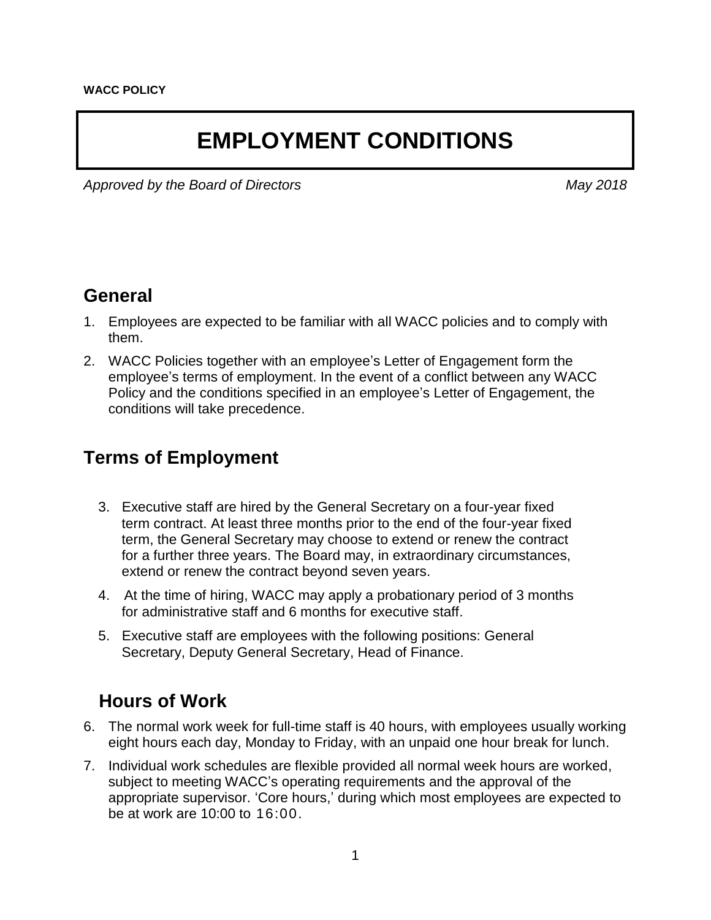# **EMPLOYMENT CONDITIONS**

*Approved by the Board of Directors May 2018*

### **General**

- 1. Employees are expected to be familiar with all WACC policies and to comply with them.
- 2. WACC Policies together with an employee's Letter of Engagement form the employee's terms of employment. In the event of a conflict between any WACC Policy and the conditions specified in an employee's Letter of Engagement, the conditions will take precedence.

## **Terms of Employment**

- 3. Executive staff are hired by the General Secretary on a four-year fixed term contract. At least three months prior to the end of the four-year fixed term, the General Secretary may choose to extend or renew the contract for a further three years. The Board may, in extraordinary circumstances, extend or renew the contract beyond seven years.
- 4. At the time of hiring, WACC may apply a probationary period of 3 months for administrative staff and 6 months for executive staff.
- 5. Executive staff are employees with the following positions: General Secretary, Deputy General Secretary, Head of Finance.

## **Hours of Work**

- 6. The normal work week for full-time staff is 40 hours, with employees usually working eight hours each day, Monday to Friday, with an unpaid one hour break for lunch.
- 7. Individual work schedules are flexible provided all normal week hours are worked, subject to meeting WACC's operating requirements and the approval of the appropriate supervisor. 'Core hours,' during which most employees are expected to be at work are 10:00 to 16:00.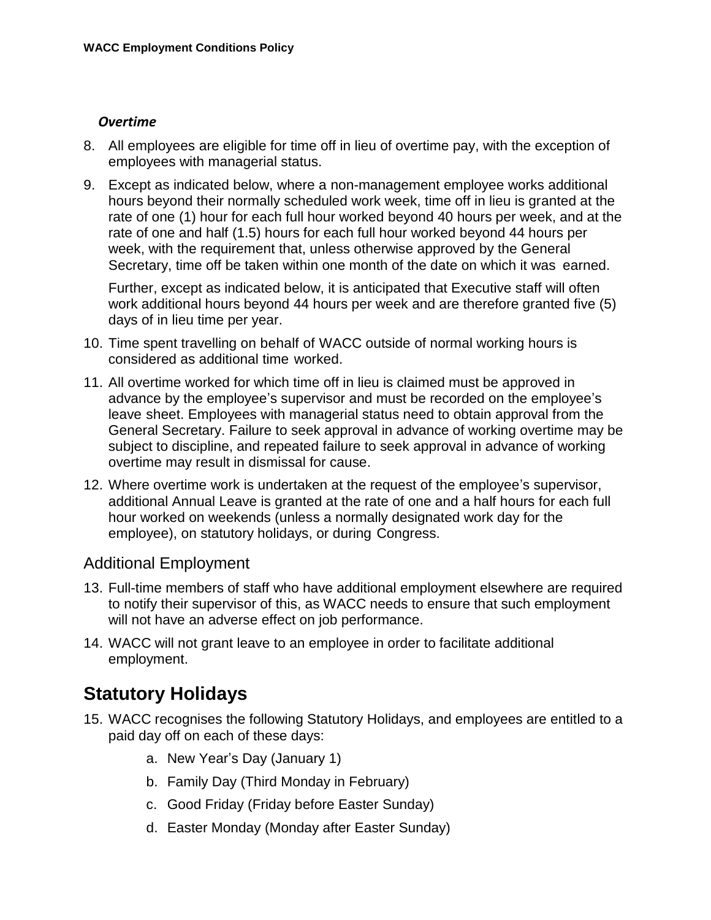#### *Overtime*

- 8. All employees are eligible for time off in lieu of overtime pay, with the exception of employees with managerial status.
- 9. Except as indicated below, where a non-management employee works additional hours beyond their normally scheduled work week, time off in lieu is granted at the rate of one (1) hour for each full hour worked beyond 40 hours per week, and at the rate of one and half (1.5) hours for each full hour worked beyond 44 hours per week, with the requirement that, unless otherwise approved by the General Secretary, time off be taken within one month of the date on which it was earned.

Further, except as indicated below, it is anticipated that Executive staff will often work additional hours beyond 44 hours per week and are therefore granted five (5) days of in lieu time per year.

- 10. Time spent travelling on behalf of WACC outside of normal working hours is considered as additional time worked.
- 11. All overtime worked for which time off in lieu is claimed must be approved in advance by the employee's supervisor and must be recorded on the employee's leave sheet. Employees with managerial status need to obtain approval from the General Secretary. Failure to seek approval in advance of working overtime may be subject to discipline, and repeated failure to seek approval in advance of working overtime may result in dismissal for cause.
- 12. Where overtime work is undertaken at the request of the employee's supervisor, additional Annual Leave is granted at the rate of one and a half hours for each full hour worked on weekends (unless a normally designated work day for the employee), on statutory holidays, or during Congress.

#### Additional Employment

- 13. Full-time members of staff who have additional employment elsewhere are required to notify their supervisor of this, as WACC needs to ensure that such employment will not have an adverse effect on job performance.
- 14. WACC will not grant leave to an employee in order to facilitate additional employment.

## **Statutory Holidays**

- 15. WACC recognises the following Statutory Holidays, and employees are entitled to a paid day off on each of these days:
	- a. New Year's Day (January 1)
	- b. Family Day (Third Monday in February)
	- c. Good Friday (Friday before Easter Sunday)
	- d. Easter Monday (Monday after Easter Sunday)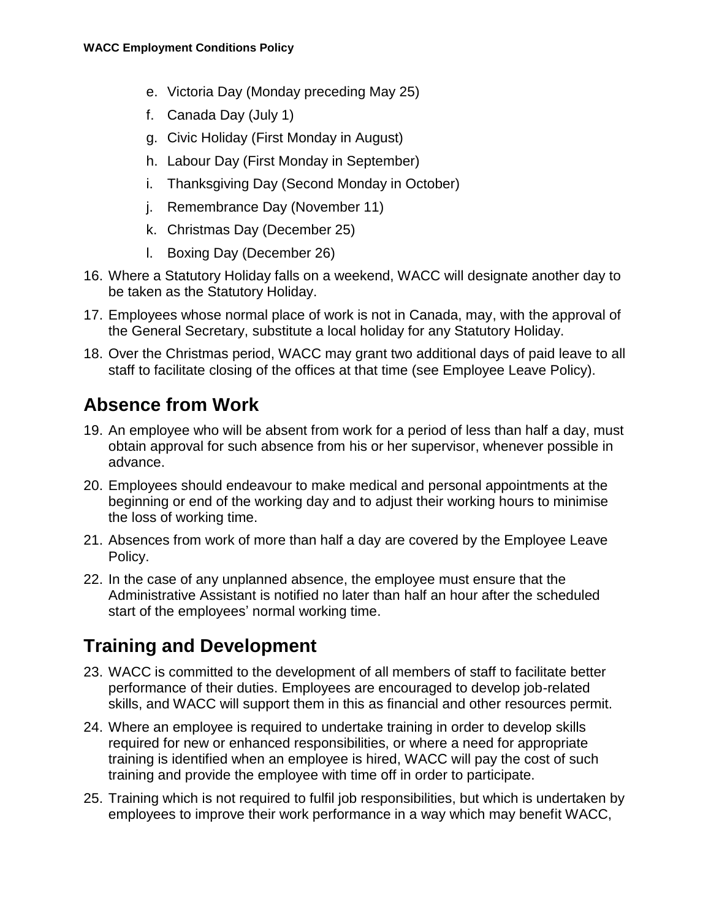- e. Victoria Day (Monday preceding May 25)
- f. Canada Day (July 1)
- g. Civic Holiday (First Monday in August)
- h. Labour Day (First Monday in September)
- i. Thanksgiving Day (Second Monday in October)
- j. Remembrance Day (November 11)
- k. Christmas Day (December 25)
- l. Boxing Day (December 26)
- 16. Where a Statutory Holiday falls on a weekend, WACC will designate another day to be taken as the Statutory Holiday.
- 17. Employees whose normal place of work is not in Canada, may, with the approval of the General Secretary, substitute a local holiday for any Statutory Holiday.
- 18. Over the Christmas period, WACC may grant two additional days of paid leave to all staff to facilitate closing of the offices at that time (see Employee Leave Policy).

## **Absence from Work**

- 19. An employee who will be absent from work for a period of less than half a day, must obtain approval for such absence from his or her supervisor, whenever possible in advance.
- 20. Employees should endeavour to make medical and personal appointments at the beginning or end of the working day and to adjust their working hours to minimise the loss of working time.
- 21. Absences from work of more than half a day are covered by the Employee Leave Policy.
- 22. In the case of any unplanned absence, the employee must ensure that the Administrative Assistant is notified no later than half an hour after the scheduled start of the employees' normal working time.

## **Training and Development**

- 23. WACC is committed to the development of all members of staff to facilitate better performance of their duties. Employees are encouraged to develop job-related skills, and WACC will support them in this as financial and other resources permit.
- 24. Where an employee is required to undertake training in order to develop skills required for new or enhanced responsibilities, or where a need for appropriate training is identified when an employee is hired, WACC will pay the cost of such training and provide the employee with time off in order to participate.
- 25. Training which is not required to fulfil job responsibilities, but which is undertaken by employees to improve their work performance in a way which may benefit WACC,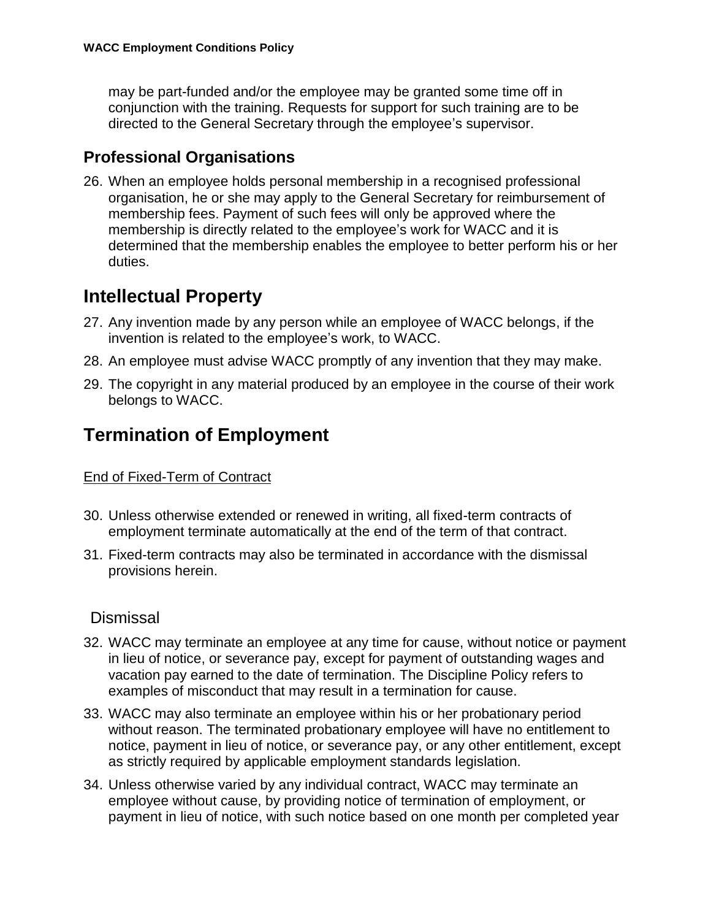may be part-funded and/or the employee may be granted some time off in conjunction with the training. Requests for support for such training are to be directed to the General Secretary through the employee's supervisor.

### **Professional Organisations**

26. When an employee holds personal membership in a recognised professional organisation, he or she may apply to the General Secretary for reimbursement of membership fees. Payment of such fees will only be approved where the membership is directly related to the employee's work for WACC and it is determined that the membership enables the employee to better perform his or her duties.

## **Intellectual Property**

- 27. Any invention made by any person while an employee of WACC belongs, if the invention is related to the employee's work, to WACC.
- 28. An employee must advise WACC promptly of any invention that they may make.
- 29. The copyright in any material produced by an employee in the course of their work belongs to WACC.

## **Termination of Employment**

End of Fixed-Term of Contract

- 30. Unless otherwise extended or renewed in writing, all fixed-term contracts of employment terminate automatically at the end of the term of that contract.
- 31. Fixed-term contracts may also be terminated in accordance with the dismissal provisions herein.

### **Dismissal**

- 32. WACC may terminate an employee at any time for cause, without notice or payment in lieu of notice, or severance pay, except for payment of outstanding wages and vacation pay earned to the date of termination. The Discipline Policy refers to examples of misconduct that may result in a termination for cause.
- 33. WACC may also terminate an employee within his or her probationary period without reason. The terminated probationary employee will have no entitlement to notice, payment in lieu of notice, or severance pay, or any other entitlement, except as strictly required by applicable employment standards legislation.
- 34. Unless otherwise varied by any individual contract, WACC may terminate an employee without cause, by providing notice of termination of employment, or payment in lieu of notice, with such notice based on one month per completed year